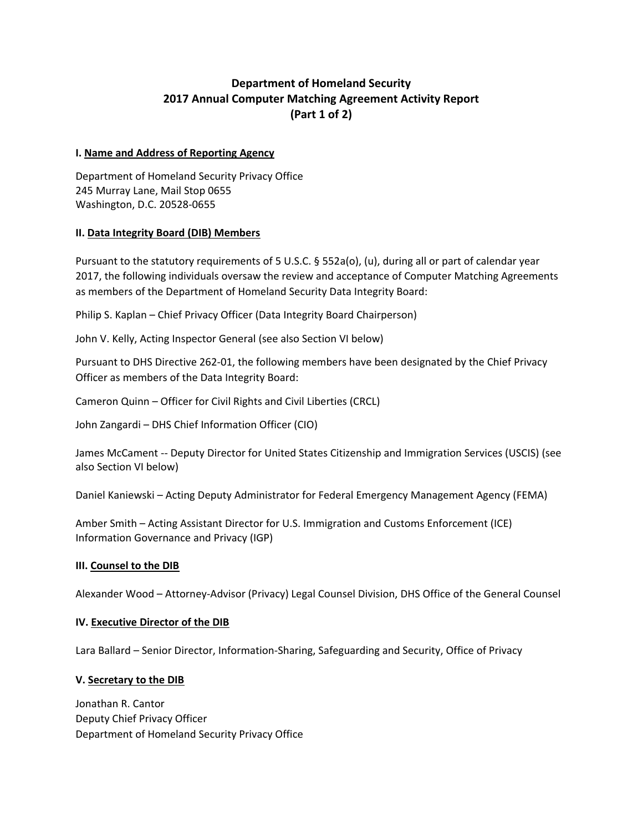# **Department of Homeland Security 2017 Annual Computer Matching Agreement Activity Report (Part 1 of 2)**

#### **I. Name and Address of Reporting Agency**

Department of Homeland Security Privacy Office 245 Murray Lane, Mail Stop 0655 Washington, D.C. 20528-0655

#### **II. Data Integrity Board (DIB) Members**

Pursuant to the statutory requirements of 5 U.S.C. § 552a(o), (u), during all or part of calendar year 2017, the following individuals oversaw the review and acceptance of Computer Matching Agreements as members of the Department of Homeland Security Data Integrity Board:

Philip S. Kaplan – Chief Privacy Officer (Data Integrity Board Chairperson)

John V. Kelly, Acting Inspector General (see also Section VI below)

Pursuant to DHS Directive 262-01, the following members have been designated by the Chief Privacy Officer as members of the Data Integrity Board:

Cameron Quinn – Officer for Civil Rights and Civil Liberties (CRCL)

John Zangardi – DHS Chief Information Officer (CIO)

James McCament -- Deputy Director for United States Citizenship and Immigration Services (USCIS) (see also Section VI below)

Daniel Kaniewski – Acting Deputy Administrator for Federal Emergency Management Agency (FEMA)

Amber Smith – Acting Assistant Director for U.S. Immigration and Customs Enforcement (ICE) Information Governance and Privacy (IGP)

#### **III. Counsel to the DIB**

Alexander Wood – Attorney-Advisor (Privacy) Legal Counsel Division, DHS Office of the General Counsel

#### **IV. Executive Director of the DIB**

Lara Ballard – Senior Director, Information-Sharing, Safeguarding and Security, Office of Privacy

#### **V. Secretary to the DIB**

Jonathan R. Cantor Deputy Chief Privacy Officer Department of Homeland Security Privacy Office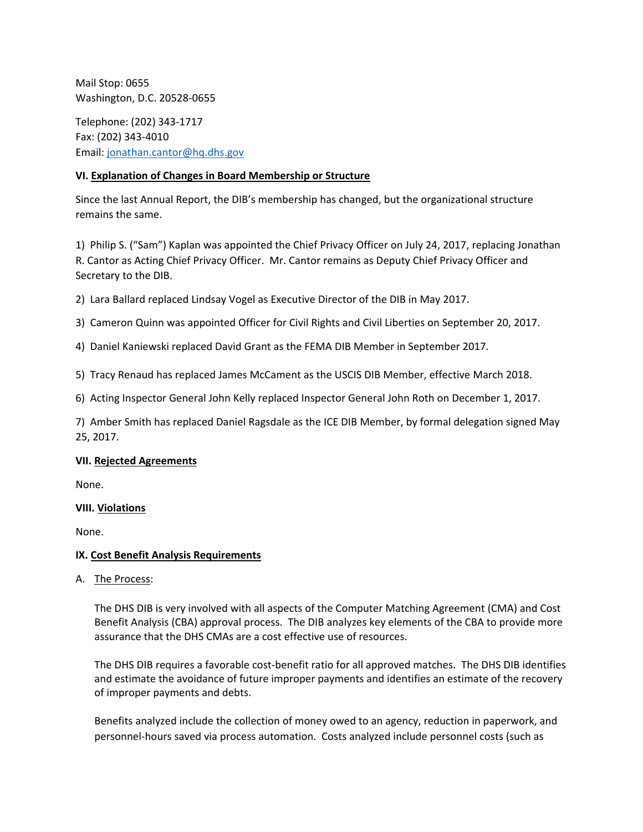Mail Stop: 0655 Washington, D.C. 20528-0655

Telephone: (202) 343-1717 Fax: (202) 343-4010 Email: [jonathan.cantor@hq.dhs.gov](mailto:jonathan.cantor@hq.dhs.gov)

## **VI. Explanation of Changes in Board Membership or Structure**

Since the last Annual Report, the DIB's membership has changed, but the organizational structure remains the same.

1) Philip S. ("Sam") Kaplan was appointed the Chief Privacy Officer on July 24, 2017, replacing Jonathan R. Cantor as Acting Chief Privacy Officer. Mr. Cantor remains as Deputy Chief Privacy Officer and Secretary to the DIB.

2) Lara Ballard replaced Lindsay Vogel as Executive Director of the DIB in May 2017.

3) Cameron Quinn was appointed Officer for Civil Rights and Civil Liberties on September 20, 2017.

4) Daniel Kaniewski replaced David Grant as the FEMA DIB Member in September 2017.

5) Tracy Renaud has replaced James McCament as the USCIS DIB Member, effective March 2018.

6) Acting Inspector General John Kelly replaced Inspector General John Roth on December 1, 2017.

7) Amber Smith has replaced Daniel Ragsdale as the ICE DIB Member, by formal delegation signed May 25, 2017.

## **VII. Rejected Agreements**

None.

## **VIII. Violations**

None.

## **IX. Cost Benefit Analysis Requirements**

A. The Process:

The DHS DIB is very involved with all aspects of the Computer Matching Agreement (CMA) and Cost Benefit Analysis (CBA) approval process. The DIB analyzes key elements of the CBA to provide more assurance that the DHS CMAs are a cost effective use of resources.

The DHS DIB requires a favorable cost-benefit ratio for all approved matches. The DHS DIB identifies and estimate the avoidance of future improper payments and identifies an estimate of the recovery of improper payments and debts.

Benefits analyzed include the collection of money owed to an agency, reduction in paperwork, and personnel-hours saved via process automation. Costs analyzed include personnel costs (such as